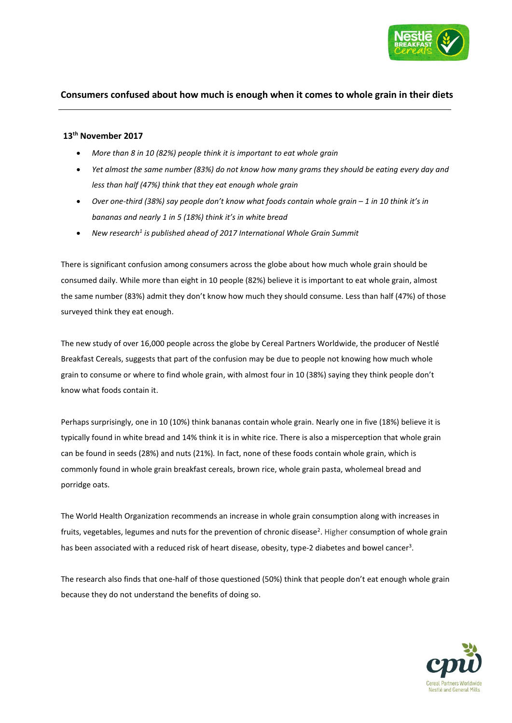

# **Consumers confused about how much is enough when it comes to whole grain in their diets**

## **13th November 2017**

- *More than 8 in 10 (82%) people think it is important to eat whole grain*
- *Yet almost the same number (83%) do not know how many grams they should be eating every day and less than half (47%) think that they eat enough whole grain*
- *Over one-third (38%) say people don't know what foods contain whole grain – 1 in 10 think it's in bananas and nearly 1 in 5 (18%) think it's in white bread*
- *New research<sup>1</sup> is published ahead of 2017 International Whole Grain Summit*

There is significant confusion among consumers across the globe about how much whole grain should be consumed daily. While more than eight in 10 people (82%) believe it is important to eat whole grain, almost the same number (83%) admit they don't know how much they should consume. Less than half (47%) of those than surveyed think they eat enough.

The new study of over 16,000 people across the globe by Cereal Partners Worldwide, the producer of Nestlé Breakfast Cereals, suggests that part of the confusion may be due to people not knowing how much whole **Consumer** grain to consume or where to find whole grain, with almost four in 10 (38%) saying they think people don't **Consum**know what foods contain it.

Perhaps surprisingly, one in 10 (10%) think bananas contain whole grain. Nearly one in five (18%) believe it is typically found in white bread and 14% think it is in white rice. There is also a misperception that whole grain can be found in seeds (28%) and nuts (21%)*.* In fact, none of these foods contain whole grain, which is commonly found in whole grain breakfast cereals, brown rice, whole grain pasta, wholemeal bread and porridge oats.

[The World Health Organization](http://www.who.int/mediacentre/factsheets/fs394/en/) recommends an increase in whole grain consumption along with increases in fruits, vegetables, legumes and nuts for the prevention of chronic disease<sup>2</sup>. Higher consumption of whole grain has been associated with a reduced risk of heart disease, obesity, type-2 diabetes and bowel cancer<sup>3</sup>.

The research also finds that one-half of those questioned (50%) think that people don't eat enough whole grain because they do not understand the benefits of doing so.

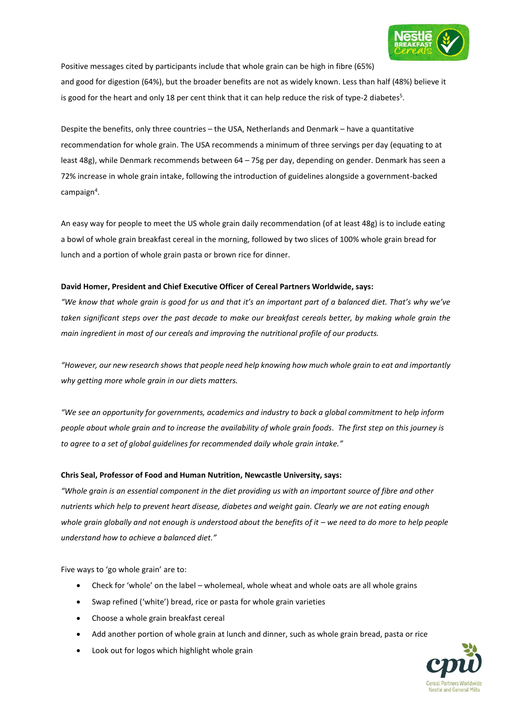

Positive messages cited by participants include that whole grain can be high in fibre (65%)

and good for digestion (64%), but the broader benefits are not as widely known. Less than half (48%) believe it is good for the heart and only 18 per cent think that it can help reduce the risk of type-2 diabetes<sup>5</sup>.

Despite the benefits, only three countries – the USA, Netherlands and Denmark – have a quantitative recommendation for whole grain. The USA recommends a minimum of three servings per day (equating to at least 48g), while Denmark recommends between 64 – 75g per day, depending on gender. Denmark has seen a 72% increase in whole grain intake, following the introduction of guidelines alongside a government-backed campaign<sup>4</sup>.

An easy way for people to meet the US whole grain daily recommendation (of at least 48g) is to include eating a bowl of whole grain breakfast cereal in the morning, followed by two slices of 100% whole grain bread for lunch and a portion of whole grain pasta or brown rice for dinner.

#### **David Homer, President and Chief Executive Officer of Cereal Partners Worldwide, says:**

*"We know that whole grain is good for us and that it's an important part of a balanced diet. That's why we've taken significant steps over the past decade to make our breakfast cereals better, by making whole grain the main ingredient in most of our cereals and improving the nutritional profile of our products.* 

*"However, our new research shows that people need help knowing how much whole grain to eat and importantly why getting more whole grain in our diets matters.* 

*"We see an opportunity for governments, academics and industry to back a global commitment to help inform people about whole grain and to increase the availability of whole grain foods. The first step on this journey is to agree to a set of global guidelines for recommended daily whole grain intake."*

### **Chris Seal, Professor of Food and Human Nutrition, Newcastle University, says:**

*"Whole grain is an essential component in the diet providing us with an important source of fibre and other nutrients which help to prevent heart disease, diabetes and weight gain. Clearly we are not eating enough whole grain globally and not enough is understood about the benefits of it – we need to do more to help people understand how to achieve a balanced diet."*

Five ways to 'go whole grain' are to:

- Check for 'whole' on the label wholemeal, whole wheat and whole oats are all whole grains
- Swap refined ('white') bread, rice or pasta for whole grain varieties
- Choose a whole grain breakfast cereal
- Add another portion of whole grain at lunch and dinner, such as whole grain bread, pasta or rice
- Look out for logos which highlight whole grain

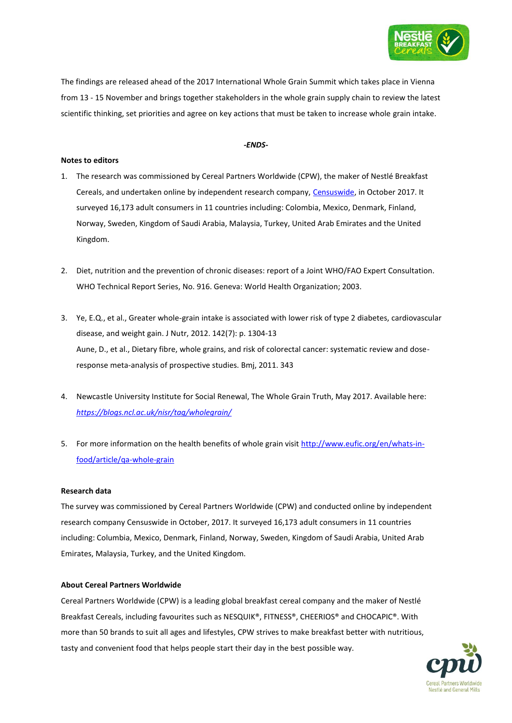

The findings are released ahead of the 2017 International Whole Grain Summit which takes place in Vienna from 13 - 15 November and brings together stakeholders in the whole grain supply chain to review the latest scientific thinking, set priorities and agree on key actions that must be taken to increase whole grain intake.

#### *-ENDS-*

#### **Notes to editors**

- 1. The research was commissioned by Cereal Partners Worldwide (CPW), the maker of Nestlé Breakfast Cereals, and undertaken online by independent research company, [Censuswide,](http://www.censuswide.com/) in October 2017. It surveyed 16,173 adult consumers in 11 countries including: Colombia, Mexico, Denmark, Finland, Norway, Sweden, Kingdom of Saudi Arabia, Malaysia, Turkey, United Arab Emirates and the United Kingdom.
- 2. Diet, nutrition and the prevention of chronic diseases: report of a Joint WHO/FAO Expert Consultation. WHO Technical Report Series, No. 916. Geneva: World Health Organization; 2003.
- 3. Ye, E.Q., et al., Greater whole-grain intake is associated with lower risk of type 2 diabetes, cardiovascular disease, and weight gain. J Nutr, 2012. 142(7): p. 1304-13 Aune, D., et al., Dietary fibre, whole grains, and risk of colorectal cancer: systematic review and doseresponse meta-analysis of prospective studies. Bmj, 2011. 343
- 4. Newcastle University Institute for Social Renewal, The Whole Grain Truth, May 2017. Available here: *<https://blogs.ncl.ac.uk/nisr/tag/wholegrain/>*
- 5. For more information on the health benefits of whole grain visit [http://www.eufic.org/en/whats-in](http://www.eufic.org/en/whats-in-food/article/qa-whole-grain)[food/article/qa-whole-grain](http://www.eufic.org/en/whats-in-food/article/qa-whole-grain)

#### **Research data**

The survey was commissioned by Cereal Partners Worldwide (CPW) and conducted online by independent research company Censuswide in October, 2017. It surveyed 16,173 adult consumers in 11 countries including: Columbia, Mexico, Denmark, Finland, Norway, Sweden, Kingdom of Saudi Arabia, United Arab Emirates, Malaysia, Turkey, and the United Kingdom.

#### **About Cereal Partners Worldwide**

Cereal Partners Worldwide (CPW) is a leading global breakfast cereal company and the maker of Nestlé Breakfast Cereals, including favourites such as NESQUIK®, FITNESS®, CHEERIOS® and CHOCAPIC®. With more than 50 brands to suit all ages and lifestyles, CPW strives to make breakfast better with nutritious, tasty and convenient food that helps people start their day in the best possible way.